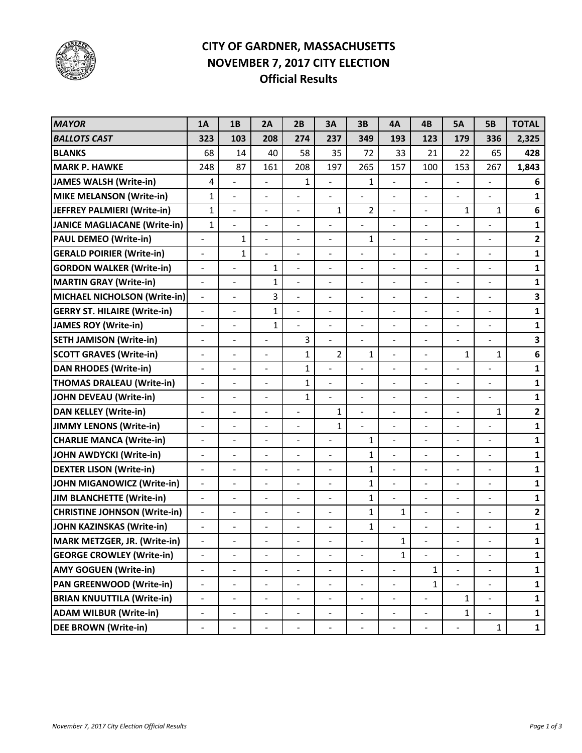

## **CITY OF GARDNER, MASSACHUSETTS NOVEMBER 7, 2017 CITY ELECTION Official Results**

| <b>MAYOR</b>                        | 1A                       | 1B                           | 2A                           | 2B                       | 3A                           | 3B                       | <b>4A</b>                | 4B                           | <b>5A</b>                    | <b>5B</b>                    | <b>TOTAL</b>   |
|-------------------------------------|--------------------------|------------------------------|------------------------------|--------------------------|------------------------------|--------------------------|--------------------------|------------------------------|------------------------------|------------------------------|----------------|
| <b>BALLOTS CAST</b>                 | 323                      | 103                          | 208                          | 274                      | 237                          | 349                      | 193                      | 123                          | 179                          | 336                          | 2,325          |
| <b>BLANKS</b>                       | 68                       | 14                           | 40                           | 58                       | 35                           | 72                       | 33                       | 21                           | 22                           | 65                           | 428            |
| <b>MARK P. HAWKE</b>                | 248                      | 87                           | 161                          | 208                      | 197                          | 265                      | 157                      | 100                          | 153                          | 267                          | 1,843          |
| <b>JAMES WALSH (Write-in)</b>       | 4                        | ÷,                           | $\blacksquare$               | $\mathbf{1}$             | $\overline{a}$               | 1                        | ÷,                       | $\blacksquare$               | $\overline{\phantom{a}}$     | $\overline{a}$               | 6              |
| <b>MIKE MELANSON (Write-in)</b>     | $\mathbf 1$              | $\overline{a}$               | $\blacksquare$               | $\overline{a}$           | $\overline{a}$               | $\overline{a}$           | $\overline{a}$           | ÷,                           | $\blacksquare$               | $\overline{\phantom{a}}$     | $\mathbf{1}$   |
| JEFFREY PALMIERI (Write-in)         | $\mathbf{1}$             | $\overline{\phantom{0}}$     | $\overline{\phantom{a}}$     | $\frac{1}{2}$            | 1                            | $\overline{2}$           | -                        | $\qquad \qquad \blacksquare$ | $\mathbf 1$                  | 1                            | 6              |
| <b>JANICE MAGLIACANE (Write-in)</b> | $\mathbf{1}$             | $\overline{a}$               | $\overline{\phantom{a}}$     | ÷                        | $\overline{a}$               | $\overline{\phantom{a}}$ | -                        | $\overline{\phantom{a}}$     |                              |                              | $\mathbf{1}$   |
| <b>PAUL DEMEO (Write-in)</b>        | $\overline{\phantom{0}}$ | $\mathbf{1}$                 | $\blacksquare$               | $\frac{1}{2}$            | $\overline{\phantom{a}}$     | 1                        | -                        | ÷,                           | $\overline{\phantom{a}}$     | $\overline{a}$               | $\overline{2}$ |
| <b>GERALD POIRIER (Write-in)</b>    | $\overline{\phantom{a}}$ | 1                            | $\qquad \qquad \blacksquare$ | $\overline{a}$           | $\overline{a}$               |                          | $\overline{\phantom{m}}$ |                              |                              | ÷                            | $\mathbf{1}$   |
| <b>GORDON WALKER (Write-in)</b>     | $\overline{\phantom{a}}$ |                              | 1                            | $\frac{1}{2}$            | $\overline{a}$               | $\blacksquare$           | -                        |                              | $\overline{a}$               | $\overline{a}$               | $\mathbf{1}$   |
| <b>MARTIN GRAY (Write-in)</b>       | $\blacksquare$           |                              | 1                            | $\overline{a}$           | $\overline{a}$               | $\overline{\phantom{a}}$ | $\overline{a}$           | ÷,                           |                              | ÷                            | $\mathbf{1}$   |
| MICHAEL NICHOLSON (Write-in)        | $\blacksquare$           |                              | 3                            | $\overline{a}$           | $\overline{\phantom{a}}$     | $\blacksquare$           | $\overline{a}$           |                              | $\overline{a}$               | $\overline{\phantom{a}}$     | 3              |
| <b>GERRY ST. HILAIRE (Write-in)</b> | $\overline{\phantom{a}}$ |                              | $\mathbf{1}$                 | $\overline{a}$           | $\overline{a}$               | $\blacksquare$           | ÷,                       | $\overline{a}$               | $\overline{a}$               | $\blacksquare$               | $\mathbf{1}$   |
| <b>JAMES ROY (Write-in)</b>         | $\overline{\phantom{m}}$ |                              | 1                            | $\frac{1}{2}$            | $\blacksquare$               | $\overline{\phantom{a}}$ | $\overline{a}$           | $\blacksquare$               | ÷,                           | $\overline{a}$               | $\mathbf{1}$   |
| <b>SETH JAMISON (Write-in)</b>      | $\overline{\phantom{a}}$ | ÷.                           | $\blacksquare$               | 3                        | ÷,                           | $\overline{\phantom{a}}$ | $\overline{a}$           | $\blacksquare$               | $\overline{a}$               | $\overline{a}$               | 3              |
| <b>SCOTT GRAVES (Write-in)</b>      | $\overline{\phantom{m}}$ | $\overline{\phantom{0}}$     | $\overline{\phantom{a}}$     | $\mathbf{1}$             | $\overline{2}$               | 1                        | -                        | $\overline{\phantom{a}}$     | $\mathbf 1$                  | 1                            | 6              |
| <b>DAN RHODES (Write-in)</b>        | $\blacksquare$           | $\blacksquare$               | $\blacksquare$               | $\mathbf{1}$             | ÷,                           | $\blacksquare$           | $\overline{a}$           | $\blacksquare$               | $\blacksquare$               | $\overline{a}$               | $\mathbf{1}$   |
| <b>THOMAS DRALEAU (Write-in)</b>    | $\overline{\phantom{m}}$ | $\qquad \qquad \blacksquare$ | Ĭ.                           | $\mathbf{1}$             | $\frac{1}{2}$                | $\blacksquare$           | -                        | $\qquad \qquad \blacksquare$ | $\overline{\phantom{a}}$     | $\overline{a}$               | $\mathbf{1}$   |
| <b>JOHN DEVEAU (Write-in)</b>       | $\blacksquare$           | $\overline{\phantom{a}}$     | $\overline{\phantom{a}}$     | 1                        | $\frac{1}{2}$                | $\blacksquare$           | -                        | $\blacksquare$               | $\overline{a}$               | ÷                            | $\mathbf{1}$   |
| <b>DAN KELLEY (Write-in)</b>        |                          |                              | $\qquad \qquad \blacksquare$ |                          | $\mathbf{1}$                 | $\blacksquare$           | -                        |                              |                              | 1                            | $\overline{2}$ |
| <b>JIMMY LENONS (Write-in)</b>      | $\frac{1}{2}$            | $\overline{\phantom{0}}$     | $\overline{\phantom{a}}$     | $\overline{a}$           | 1                            | $\overline{a}$           | $\overline{a}$           | $\blacksquare$               | L,                           | $\overline{a}$               | $\mathbf{1}$   |
| <b>CHARLIE MANCA (Write-in)</b>     | $\overline{\phantom{0}}$ |                              | $\overline{a}$               |                          | $\overline{\phantom{a}}$     | $\mathbf{1}$             | $\overline{\phantom{0}}$ | ÷                            | ÷                            | $\overline{a}$               | $\mathbf{1}$   |
| JOHN AWDYCKI (Write-in)             | $\overline{\phantom{a}}$ | $\overline{\phantom{0}}$     | $\overline{\phantom{a}}$     | $\overline{\phantom{a}}$ | $\qquad \qquad \blacksquare$ | $\mathbf{1}$             | $\overline{a}$           | $\qquad \qquad \blacksquare$ | ÷                            | $\qquad \qquad \blacksquare$ | $\mathbf{1}$   |
| <b>DEXTER LISON (Write-in)</b>      |                          |                              | $\blacksquare$               |                          | $\overline{\phantom{0}}$     | $\mathbf{1}$             | $\overline{a}$           |                              |                              | $\blacksquare$               | $\mathbf{1}$   |
| <b>JOHN MIGANOWICZ (Write-in)</b>   | $\overline{\phantom{a}}$ | $\overline{\phantom{0}}$     | $\overline{\phantom{a}}$     | $\overline{a}$           | $\qquad \qquad \blacksquare$ | $\mathbf{1}$             | ÷,                       | $\blacksquare$               | $\blacksquare$               | $\qquad \qquad \blacksquare$ | $\mathbf{1}$   |
| <b>JIM BLANCHETTE (Write-in)</b>    | $\blacksquare$           |                              | $\overline{\phantom{a}}$     | $\overline{\phantom{a}}$ | $\blacksquare$               | $\mathbf{1}$             | $\overline{a}$           |                              | $\blacksquare$               | $\blacksquare$               | $\mathbf{1}$   |
| <b>CHRISTINE JOHNSON (Write-in)</b> | $\equiv$                 | ÷                            | $\blacksquare$               | $\blacksquare$           | $\qquad \qquad \blacksquare$ | $\mathbf{1}$             | $\mathbf 1$              | $\overline{a}$               | $\blacksquare$               | $\qquad \qquad \blacksquare$ | $\overline{2}$ |
| JOHN KAZINSKAS (Write-in)           |                          |                              |                              |                          |                              | $\mathbf 1$              |                          |                              |                              |                              | $\mathbf{1}$   |
| MARK METZGER, JR. (Write-in)        |                          |                              |                              |                          |                              |                          | 1                        |                              |                              |                              | $\mathbf{1}$   |
| <b>GEORGE CROWLEY (Write-in)</b>    | $\overline{\phantom{m}}$ |                              | $\qquad \qquad \blacksquare$ |                          |                              |                          | $\mathbf{1}$             |                              |                              |                              | $\mathbf{1}$   |
| <b>AMY GOGUEN (Write-in)</b>        | $\frac{1}{2}$            | -                            | $\overline{\phantom{a}}$     |                          | $\qquad \qquad \blacksquare$ | $\blacksquare$           | $\overline{\phantom{0}}$ | $\mathbf{1}$                 | $\qquad \qquad \blacksquare$ |                              | $\mathbf{1}$   |
| <b>PAN GREENWOOD (Write-in)</b>     | $\overline{\phantom{0}}$ |                              | $\qquad \qquad \blacksquare$ |                          | $\qquad \qquad \blacksquare$ | $\overline{\phantom{a}}$ | $\overline{\phantom{0}}$ | $\mathbf{1}$                 |                              | $\overline{a}$               | $\mathbf{1}$   |
| <b>BRIAN KNUUTTILA (Write-in)</b>   | $\blacksquare$           |                              |                              |                          | $\blacksquare$               | $\overline{\phantom{m}}$ | $\overline{\phantom{0}}$ |                              | $\mathbf{1}$                 | $\blacksquare$               | $\mathbf{1}$   |
| <b>ADAM WILBUR (Write-in)</b>       | $\overline{\phantom{m}}$ |                              | $\overline{\phantom{a}}$     | $\overline{a}$           | $\blacksquare$               | $\overline{\phantom{a}}$ | $\overline{\phantom{0}}$ |                              | $\mathbf{1}$                 | $\overline{a}$               | $\mathbf{1}$   |
| <b>DEE BROWN (Write-in)</b>         |                          |                              |                              |                          |                              |                          | -                        |                              |                              | $\mathbf{1}$                 | $\mathbf{1}$   |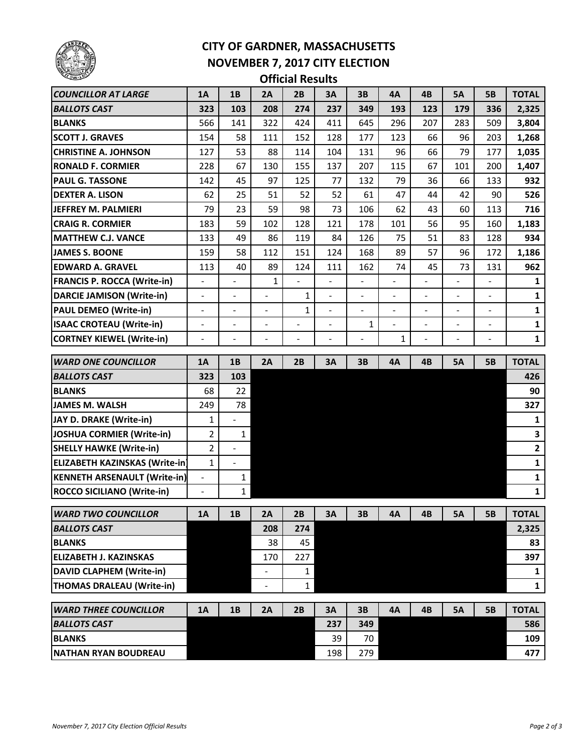

## **CITY OF GARDNER, MASSACHUSETTS NOVEMBER 7, 2017 CITY ELECTION**

**Official Results**

| <b>COUNCILLOR AT LARGE</b>                   | <b>1A</b>                    | 1B                       | 2A                       | 2B                       | 3A                       | 3B                       | 4A                       | 4B                           | <b>5A</b>      | <b>5B</b>                | <b>TOTAL</b> |
|----------------------------------------------|------------------------------|--------------------------|--------------------------|--------------------------|--------------------------|--------------------------|--------------------------|------------------------------|----------------|--------------------------|--------------|
| <b>BALLOTS CAST</b>                          | 323                          | 103                      | 208                      | 274                      | 237                      | 349                      | 193                      | 123                          | 179            | 336                      | 2,325        |
| <b>BLANKS</b>                                | 566                          | 141                      | 322                      | 424                      | 411                      | 645                      | 296                      | 207                          | 283            | 509                      | 3,804        |
| <b>SCOTT J. GRAVES</b>                       | 154                          | 58                       | 111                      | 152                      | 128                      | 177                      | 123                      | 66                           | 96             | 203                      | 1,268        |
| <b>CHRISTINE A. JOHNSON</b>                  | 127                          | 53                       | 88                       | 114                      | 104                      | 131                      | 96                       | 66                           | 79             | 177                      | 1,035        |
| <b>RONALD F. CORMIER</b>                     | 228                          | 67                       | 130                      | 155                      | 137                      | 207                      | 115                      | 67                           | 101            | 200                      | 1,407        |
| <b>PAUL G. TASSONE</b>                       | 142                          | 45                       | 97                       | 125                      | 77                       | 132                      | 79                       | 36                           | 66             | 133                      | 932          |
| <b>DEXTER A. LISON</b>                       | 62                           | 25                       | 51                       | 52                       | 52                       | 61                       | 47                       | 44                           | 42             | 90                       | 526          |
| JEFFREY M. PALMIERI                          | 79                           | 23                       | 59                       | 98                       | 73                       | 106                      | 62                       | 43                           | 60             | 113                      | 716          |
| <b>CRAIG R. CORMIER</b>                      | 183                          | 59                       | 102                      | 128                      | 121                      | 178                      | 101                      | 56                           | 95             | 160                      | 1,183        |
| <b>MATTHEW C.J. VANCE</b>                    | 133                          | 49                       | 86                       | 119                      | 84                       | 126                      | 75                       | 51                           | 83             | 128                      | 934          |
| <b>JAMES S. BOONE</b>                        | 159                          | 58                       | 112                      | 151                      | 124                      | 168                      | 89                       | 57                           | 96             | 172                      | 1,186        |
| <b>EDWARD A. GRAVEL</b>                      | 113                          | 40                       | 89                       | 124                      | 111                      | 162                      | 74                       | 45                           | 73             | 131                      | 962          |
| <b>FRANCIS P. ROCCA (Write-in)</b>           | $\qquad \qquad \blacksquare$ | $\overline{\phantom{0}}$ | 1                        | $\overline{\phantom{0}}$ | $\overline{\phantom{0}}$ | $\overline{\phantom{0}}$ | $\overline{\phantom{0}}$ | $\qquad \qquad \blacksquare$ | -              | $\overline{\phantom{0}}$ | 1            |
| <b>DARCIE JAMISON (Write-in)</b>             | $\overline{\phantom{0}}$     |                          | $\overline{a}$           | 1                        | $\overline{\phantom{a}}$ | $\overline{\phantom{a}}$ |                          |                              |                | $\overline{\phantom{0}}$ | 1            |
| <b>PAUL DEMEO (Write-in)</b>                 | ÷,                           | $\overline{a}$           | $\overline{\phantom{a}}$ | 1                        | $\overline{\phantom{0}}$ | ÷,                       | $\overline{\phantom{a}}$ | $\overline{\phantom{a}}$     | $\overline{a}$ | $\overline{a}$           | 1            |
| <b>ISAAC CROTEAU (Write-in)</b>              | $\overline{\phantom{0}}$     |                          | $\overline{\phantom{a}}$ |                          | $\overline{\phantom{0}}$ | 1                        |                          | $\overline{a}$               |                | $\overline{\phantom{0}}$ | $\mathbf 1$  |
| <b>CORTNEY KIEWEL (Write-in)</b>             | $\overline{a}$               | $\overline{\phantom{m}}$ | $\overline{\phantom{a}}$ | ÷                        | ۰                        | $\overline{a}$           | $\mathbf{1}$             | $\overline{a}$               | $\overline{a}$ | ÷                        | $\mathbf{1}$ |
|                                              |                              |                          |                          |                          |                          |                          |                          |                              |                |                          |              |
| <b>WARD ONE COUNCILLOR</b>                   | <b>1A</b>                    | 1B                       | 2A                       | 2B                       | 3A                       | <b>3B</b>                | 4A                       | 4B                           | <b>5A</b>      | <b>5B</b>                | <b>TOTAL</b> |
| <b>BALLOTS CAST</b>                          | 323                          | 103                      |                          |                          |                          |                          |                          |                              |                |                          | 426          |
| <b>BLANKS</b>                                | 68                           | 22                       |                          |                          |                          |                          |                          |                              |                |                          | 90           |
| <b>JAMES M. WALSH</b>                        | 249                          | 78                       |                          |                          |                          |                          |                          |                              |                |                          | 327          |
| JAY D. DRAKE (Write-in)                      | $\mathbf{1}$                 |                          |                          |                          |                          |                          |                          |                              |                |                          | $\mathbf{1}$ |
| JOSHUA CORMIER (Write-in)                    | 2                            | $\mathbf{1}$             |                          |                          |                          |                          |                          |                              |                |                          | 3            |
| <b>SHELLY HAWKE (Write-in)</b>               | 2                            | $\overline{a}$           |                          |                          |                          |                          |                          |                              |                |                          | $\mathbf{2}$ |
| <b>ELIZABETH KAZINSKAS (Write-in)</b>        | $\mathbf{1}$                 | $\blacksquare$           |                          |                          |                          |                          |                          |                              |                |                          | $\mathbf 1$  |
| <b>KENNETH ARSENAULT (Write-in)</b>          | $\frac{1}{2}$                | $\mathbf{1}$             |                          |                          |                          |                          |                          |                              |                |                          | $\mathbf 1$  |
| <b>ROCCO SICILIANO (Write-in)</b>            | $\blacksquare$               | $\mathbf{1}$             |                          |                          |                          |                          |                          |                              |                |                          | $\mathbf 1$  |
| WARD TWO COUNCILLOR                          | 1A                           | 1B                       | 2A                       | 2В                       | ЗΑ                       | 3В                       | 4А                       | 4В                           | 5А             | 5В                       | TOTAL        |
| <b>BALLOTS CAST</b>                          |                              |                          | 208                      | 274                      |                          |                          |                          |                              |                |                          | 2,325        |
| <b>BLANKS</b>                                |                              |                          |                          |                          |                          |                          |                          |                              |                |                          |              |
|                                              |                              |                          | 38                       | 45                       |                          |                          |                          |                              |                |                          | 83           |
| <b>ELIZABETH J. KAZINSKAS</b>                |                              |                          | 170                      | 227                      |                          |                          |                          |                              |                |                          | 397          |
| <b>DAVID CLAPHEM (Write-in)</b>              |                              |                          | $\overline{\phantom{a}}$ | $\mathbf{1}$             |                          |                          |                          |                              |                |                          | 1            |
| THOMAS DRALEAU (Write-in)                    |                              |                          | $\overline{\phantom{a}}$ | $\mathbf{1}$             |                          |                          |                          |                              |                |                          | $\mathbf{1}$ |
|                                              |                              |                          |                          |                          |                          |                          |                          |                              |                |                          |              |
| <b>WARD THREE COUNCILLOR</b>                 | 1A                           | 1B                       | 2A                       | 2B                       | 3A                       | 3B                       | 4A                       | 4B                           | <b>5A</b>      | <b>5B</b>                | <b>TOTAL</b> |
| <b>BALLOTS CAST</b>                          |                              |                          |                          |                          | 237                      | 349                      |                          |                              |                |                          | 586          |
| <b>BLANKS</b><br><b>NATHAN RYAN BOUDREAU</b> |                              |                          |                          |                          | 39<br>198                | 70<br>279                |                          |                              |                |                          | 109<br>477   |